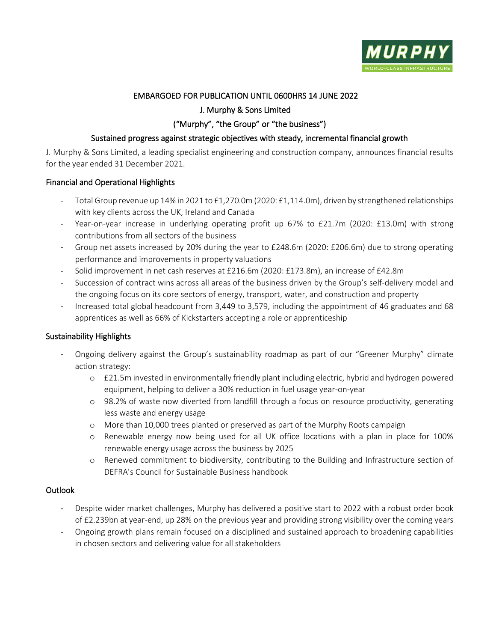

# EMBARGOED FOR PUBLICATION UNTIL 0600HRS 14 JUNE 2022

# J. Murphy & Sons Limited

# ("Murphy", "the Group" or "the business")

## Sustained progress against strategic objectives with steady, incremental financial growth

J. Murphy & Sons Limited, a leading specialist engineering and construction company, announces financial results for the year ended 31 December 2021.

## Financial and Operational Highlights

- Total Group revenue up 14% in 2021 to £1,270.0m (2020: £1,114.0m), driven by strengthened relationships with key clients across the UK, Ireland and Canada
- Year-on-year increase in underlying operating profit up 67% to £21.7m (2020: £13.0m) with strong contributions from all sectors of the business
- Group net assets increased by 20% during the year to £248.6m (2020: £206.6m) due to strong operating performance and improvements in property valuations
- Solid improvement in net cash reserves at £216.6m (2020: £173.8m), an increase of £42.8m
- Succession of contract wins across all areas of the business driven by the Group's self-delivery model and the ongoing focus on its core sectors of energy, transport, water, and construction and property
- Increased total global headcount from 3,449 to 3,579, including the appointment of 46 graduates and 68 apprentices as well as 66% of Kickstarters accepting a role or apprenticeship

## Sustainability Highlights

- Ongoing delivery against the Group's sustainability roadmap as part of our "Greener Murphy" climate action strategy:
	- o £21.5m invested in environmentally friendly plant including electric, hybrid and hydrogen powered equipment, helping to deliver a 30% reduction in fuel usage year-on-year
	- o 98.2% of waste now diverted from landfill through a focus on resource productivity, generating less waste and energy usage
	- o More than 10,000 trees planted or preserved as part of the Murphy Roots campaign
	- o Renewable energy now being used for all UK office locations with a plan in place for 100% renewable energy usage across the business by 2025
	- o Renewed commitment to biodiversity, contributing to the Building and Infrastructure section of DEFRA's Council for Sustainable Business handbook

## **Outlook**

- Despite wider market challenges, Murphy has delivered a positive start to 2022 with a robust order book of £2.239bn at year-end, up 28% on the previous year and providing strong visibility over the coming years
- Ongoing growth plans remain focused on a disciplined and sustained approach to broadening capabilities in chosen sectors and delivering value for all stakeholders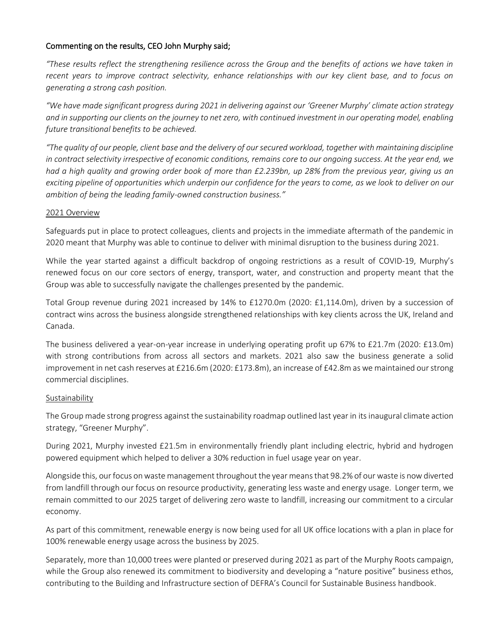## Commenting on the results, CEO John Murphy said;

*"These results reflect the strengthening resilience across the Group and the benefits of actions we have taken in*  recent years to improve contract selectivity, enhance relationships with our key client base, and to focus on *generating a strong cash position.*

*"We have made significant progress during 2021 in delivering against our 'Greener Murphy' climate action strategy and in supporting our clients on the journey to net zero, with continued investment in our operating model, enabling future transitional benefits to be achieved.*

*"The quality of our people, client base and the delivery of our secured workload, together with maintaining discipline in contract selectivity irrespective of economic conditions, remains core to our ongoing success. At the year end, we had a high quality and growing order book of more than £2.239bn, up 28% from the previous year, giving us an exciting pipeline of opportunities which underpin our confidence for the years to come, as we look to deliver on our ambition of being the leading family-owned construction business."* 

#### 2021 Overview

Safeguards put in place to protect colleagues, clients and projects in the immediate aftermath of the pandemic in 2020 meant that Murphy was able to continue to deliver with minimal disruption to the business during 2021.

While the year started against a difficult backdrop of ongoing restrictions as a result of COVID-19, Murphy's renewed focus on our core sectors of energy, transport, water, and construction and property meant that the Group was able to successfully navigate the challenges presented by the pandemic.

Total Group revenue during 2021 increased by 14% to £1270.0m (2020: £1,114.0m), driven by a succession of contract wins across the business alongside strengthened relationships with key clients across the UK, Ireland and Canada.

The business delivered a year-on-year increase in underlying operating profit up 67% to £21.7m (2020: £13.0m) with strong contributions from across all sectors and markets. 2021 also saw the business generate a solid improvement in net cash reserves at £216.6m (2020: £173.8m), an increase of £42.8m as we maintained our strong commercial disciplines.

## Sustainability

The Group made strong progress against the sustainability roadmap outlined last year in itsinaugural climate action strategy, "Greener Murphy".

During 2021, Murphy invested £21.5m in environmentally friendly plant including electric, hybrid and hydrogen powered equipment which helped to deliver a 30% reduction in fuel usage year on year.

Alongside this, our focus on waste management throughout the year means that 98.2% of our waste is now diverted from landfill through our focus on resource productivity, generating less waste and energy usage. Longer term, we remain committed to our 2025 target of delivering zero waste to landfill, increasing our commitment to a circular economy.

As part of this commitment, renewable energy is now being used for all UK office locations with a plan in place for 100% renewable energy usage across the business by 2025.

Separately, more than 10,000 trees were planted or preserved during 2021 as part of the Murphy Roots campaign, while the Group also renewed its commitment to biodiversity and developing a "nature positive" business ethos, contributing to the Building and Infrastructure section of DEFRA's Council for Sustainable Business handbook.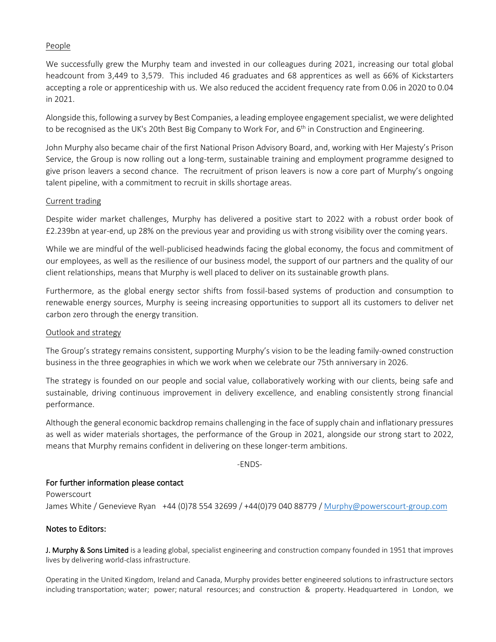## People

We successfully grew the Murphy team and invested in our colleagues during 2021, increasing our total global headcount from 3,449 to 3,579. This included 46 graduates and 68 apprentices as well as 66% of Kickstarters accepting a role or apprenticeship with us. We also reduced the accident frequency rate from 0.06 in 2020 to 0.04 in 2021.

Alongside this, following a survey by Best Companies, a leading employee engagement specialist, we were delighted to be recognised as the UK's 20th Best Big Company to Work For, and 6<sup>th</sup> in Construction and Engineering.

John Murphy also became chair of the first National Prison Advisory Board, and, working with Her Majesty's Prison Service, the Group is now rolling out a long-term, sustainable training and employment programme designed to give prison leavers a second chance. The recruitment of prison leavers is now a core part of Murphy's ongoing talent pipeline, with a commitment to recruit in skills shortage areas.

#### Current trading

Despite wider market challenges, Murphy has delivered a positive start to 2022 with a robust order book of £2.239bn at year-end, up 28% on the previous year and providing us with strong visibility over the coming years.

While we are mindful of the well-publicised headwinds facing the global economy, the focus and commitment of our employees, as well as the resilience of our business model, the support of our partners and the quality of our client relationships, means that Murphy is well placed to deliver on its sustainable growth plans.

Furthermore, as the global energy sector shifts from fossil-based systems of production and consumption to renewable energy sources, Murphy is seeing increasing opportunities to support all its customers to deliver net carbon zero through the energy transition.

## Outlook and strategy

The Group's strategy remains consistent, supporting Murphy's vision to be the leading family-owned construction business in the three geographies in which we work when we celebrate our 75th anniversary in 2026.

The strategy is founded on our people and social value, collaboratively working with our clients, being safe and sustainable, driving continuous improvement in delivery excellence, and enabling consistently strong financial performance.

Although the general economic backdrop remains challenging in the face of supply chain and inflationary pressures as well as wider materials shortages, the performance of the Group in 2021, alongside our strong start to 2022, means that Murphy remains confident in delivering on these longer-term ambitions.

-ENDS-

## For further information please contact

Powerscourt James White / Genevieve Ryan +44 (0)78 554 32699 / +44(0)79 040 88779 / [Murphy@powerscourt-group.com](mailto:Murphy@powerscourt-group.com)

## Notes to Editors:

J. Murphy & Sons Limited is a leading global, specialist engineering and construction company founded in 1951 that improves lives by delivering world-class infrastructure.

Operating in the United Kingdom, Ireland and Canada, Murphy provides better engineered solutions to infrastructure sectors including transportation; water; power; natural resources; and construction & property. Headquartered in London, we